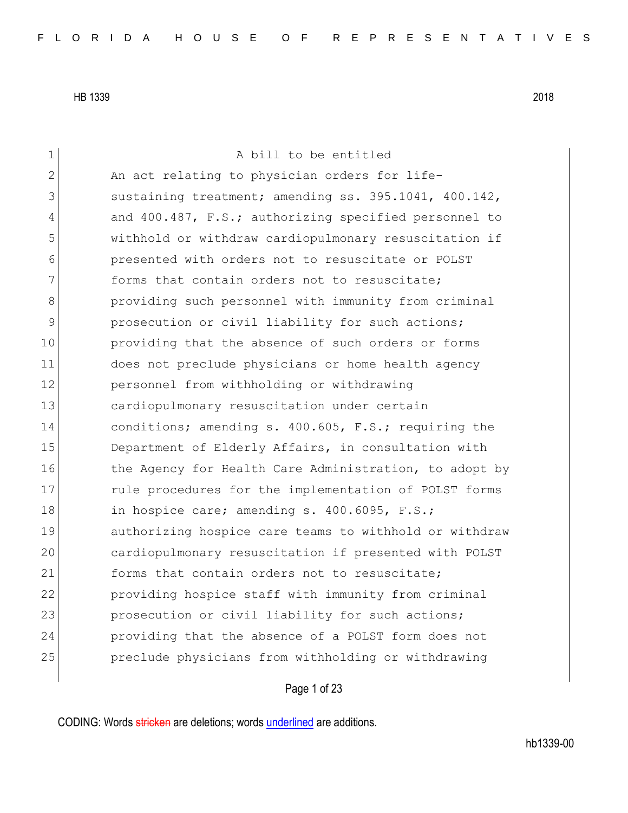1 a bill to be entitled 2 An act relating to physician orders for life-3 sustaining treatment; amending ss. 395.1041, 400.142, 4 and 400.487, F.S.; authorizing specified personnel to 5 withhold or withdraw cardiopulmonary resuscitation if 6 presented with orders not to resuscitate or POLST 7 **forms** that contain orders not to resuscitate; 8 **b** providing such personnel with immunity from criminal 9 prosecution or civil liability for such actions; 10 **providing that the absence of such orders or forms** 11 does not preclude physicians or home health agency 12 personnel from withholding or withdrawing 13 cardiopulmonary resuscitation under certain 14 conditions; amending s. 400.605, F.S.; requiring the 15 Department of Elderly Affairs, in consultation with 16 the Agency for Health Care Administration, to adopt by 17 17 rule procedures for the implementation of POLST forms 18 in hospice care; amending s. 400.6095, F.S.; 19 authorizing hospice care teams to withhold or withdraw 20 cardiopulmonary resuscitation if presented with POLST 21 forms that contain orders not to resuscitate; 22 providing hospice staff with immunity from criminal 23 prosecution or civil liability for such actions; 24 providing that the absence of a POLST form does not 25 preclude physicians from withholding or withdrawing

Page 1 of 23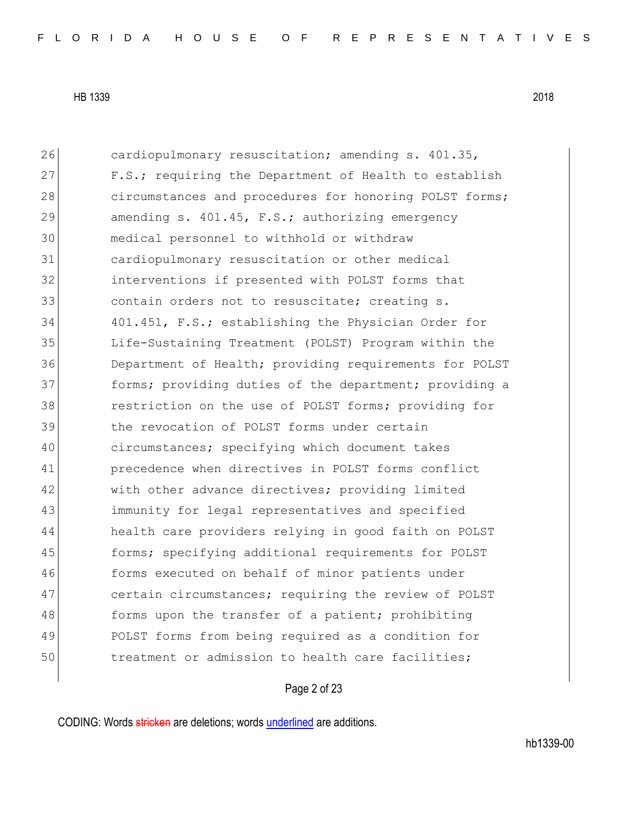26 cardiopulmonary resuscitation; amending s. 401.35, 27 F.S.; requiring the Department of Health to establish 28 circumstances and procedures for honoring POLST forms; 29 amending s. 401.45, F.S.; authorizing emergency 30 medical personnel to withhold or withdraw 31 cardiopulmonary resuscitation or other medical 32 interventions if presented with POLST forms that 33 contain orders not to resuscitate; creating s. 34 401.451, F.S.; establishing the Physician Order for 35 Life-Sustaining Treatment (POLST) Program within the 36 Department of Health; providing requirements for POLST 37 **forms;** providing duties of the department; providing a 38 **1988** restriction on the use of POLST forms; providing for 39 the revocation of POLST forms under certain 40 circumstances; specifying which document takes 41 precedence when directives in POLST forms conflict 42 with other advance directives; providing limited 43 immunity for legal representatives and specified 44 health care providers relying in good faith on POLST 45 forms; specifying additional requirements for POLST 46 forms executed on behalf of minor patients under 47 certain circumstances; requiring the review of POLST 48 forms upon the transfer of a patient; prohibiting 49 POLST forms from being required as a condition for 50 treatment or admission to health care facilities;

Page 2 of 23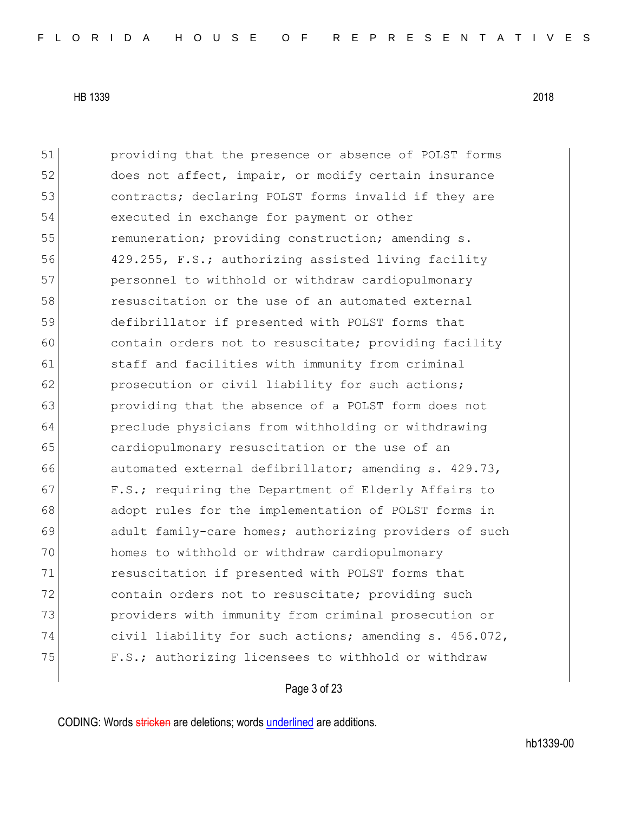51 providing that the presence or absence of POLST forms 52 does not affect, impair, or modify certain insurance 53 **contracts;** declaring POLST forms invalid if they are 54 executed in exchange for payment or other 55 **remuneration;** providing construction; amending s. 56 429.255, F.S.; authorizing assisted living facility 57 personnel to withhold or withdraw cardiopulmonary 58 resuscitation or the use of an automated external 59 defibrillator if presented with POLST forms that 60 contain orders not to resuscitate; providing facility 61 staff and facilities with immunity from criminal 62 prosecution or civil liability for such actions; 63 providing that the absence of a POLST form does not 64 preclude physicians from withholding or withdrawing 65 cardiopulmonary resuscitation or the use of an 66 automated external defibrillator; amending s. 429.73, 67 F.S.; requiring the Department of Elderly Affairs to 68 adopt rules for the implementation of POLST forms in 69 adult family-care homes; authorizing providers of such 70 homes to withhold or withdraw cardiopulmonary 71 resuscitation if presented with POLST forms that 72 contain orders not to resuscitate; providing such 73 providers with immunity from criminal prosecution or 74 civil liability for such actions; amending s. 456.072, 75 F.S.; authorizing licensees to withhold or withdraw

Page 3 of 23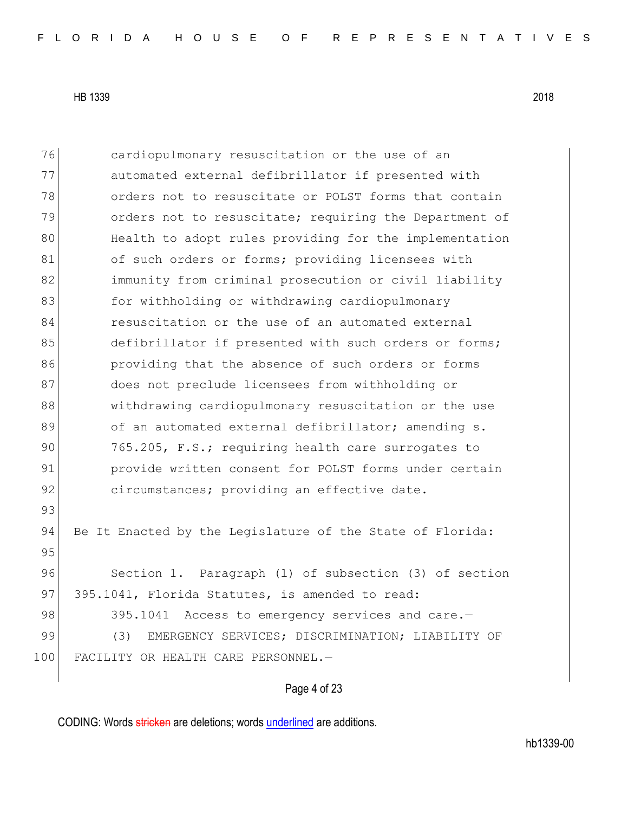| 76  | cardiopulmonary resuscitation or the use of an            |
|-----|-----------------------------------------------------------|
| 77  | automated external defibrillator if presented with        |
| 78  | orders not to resuscitate or POLST forms that contain     |
| 79  | orders not to resuscitate; requiring the Department of    |
| 80  | Health to adopt rules providing for the implementation    |
| 81  | of such orders or forms; providing licensees with         |
| 82  | immunity from criminal prosecution or civil liability     |
| 83  | for withholding or withdrawing cardiopulmonary            |
| 84  | resuscitation or the use of an automated external         |
| 85  | defibrillator if presented with such orders or forms;     |
| 86  | providing that the absence of such orders or forms        |
| 87  | does not preclude licensees from withholding or           |
| 88  | withdrawing cardiopulmonary resuscitation or the use      |
| 89  | of an automated external defibrillator; amending s.       |
| 90  | 765.205, F.S.; requiring health care surrogates to        |
| 91  | provide written consent for POLST forms under certain     |
| 92  | circumstances; providing an effective date.               |
| 93  |                                                           |
| 94  | Be It Enacted by the Legislature of the State of Florida: |
| 95  |                                                           |
| 96  | Section 1. Paragraph (1) of subsection (3) of section     |
| 97  | 395.1041, Florida Statutes, is amended to read:           |
| 98  | 395.1041 Access to emergency services and care.-          |
| 99  | (3)<br>EMERGENCY SERVICES; DISCRIMINATION; LIABILITY OF   |
| 100 | FACILITY OR HEALTH CARE PERSONNEL.-                       |
|     |                                                           |

# Page 4 of 23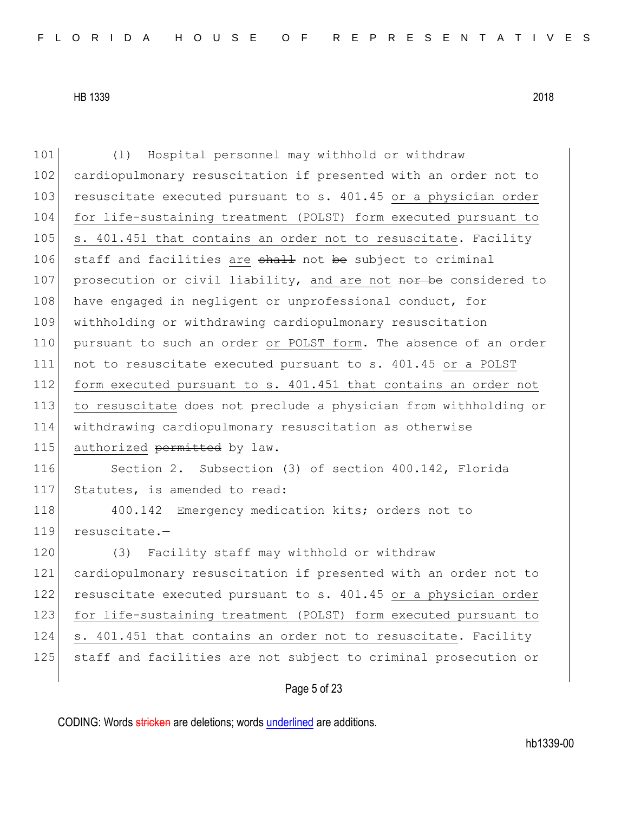101 (l) Hospital personnel may withhold or withdraw 102 cardiopulmonary resuscitation if presented with an order not to 103 resuscitate executed pursuant to s. 401.45 or a physician order 104 for life-sustaining treatment (POLST) form executed pursuant to 105 s. 401.451 that contains an order not to resuscitate. Facility 106 staff and facilities are shall not be subject to criminal 107 prosecution or civil liability, and are not nor be considered to 108 have engaged in negligent or unprofessional conduct, for 109 withholding or withdrawing cardiopulmonary resuscitation 110 pursuant to such an order or POLST form. The absence of an order 111 not to resuscitate executed pursuant to s. 401.45 or a POLST 112 form executed pursuant to s. 401.451 that contains an order not 113 to resuscitate does not preclude a physician from withholding or 114 withdrawing cardiopulmonary resuscitation as otherwise 115 authorized permitted by law. 116 Section 2. Subsection (3) of section 400.142, Florida 117 Statutes, is amended to read: 118 400.142 Emergency medication kits; orders not to 119 resuscitate.-120 (3) Facility staff may withhold or withdraw 121 cardiopulmonary resuscitation if presented with an order not to 122 resuscitate executed pursuant to s. 401.45 or a physician order 123 for life-sustaining treatment (POLST) form executed pursuant to 124 s. 401.451 that contains an order not to resuscitate. Facility 125 staff and facilities are not subject to criminal prosecution or

# Page 5 of 23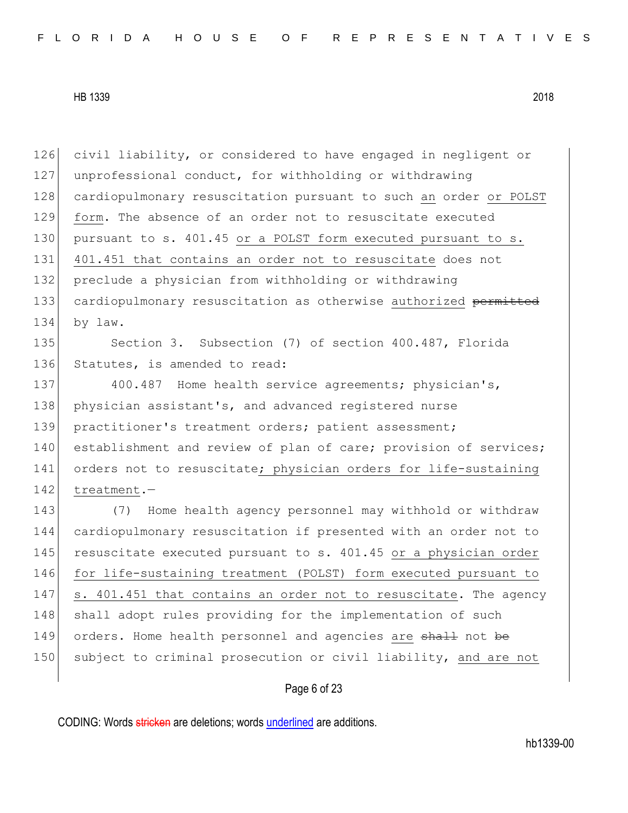126 civil liability, or considered to have engaged in negligent or 127 unprofessional conduct, for withholding or withdrawing 128 cardiopulmonary resuscitation pursuant to such an order or POLST 129 form. The absence of an order not to resuscitate executed 130 pursuant to s. 401.45 or a POLST form executed pursuant to s. 131 401.451 that contains an order not to resuscitate does not 132 preclude a physician from withholding or withdrawing 133 cardiopulmonary resuscitation as otherwise authorized permitted 134 by law.

135 Section 3. Subsection (7) of section 400.487, Florida 136 Statutes, is amended to read:

137 400.487 Home health service agreements; physician's, 138 physician assistant's, and advanced registered nurse 139 practitioner's treatment orders; patient assessment; 140 establishment and review of plan of care; provision of services; 141 orders not to resuscitate; physician orders for life-sustaining 142 treatment.-

143 (7) Home health agency personnel may withhold or withdraw 144 cardiopulmonary resuscitation if presented with an order not to 145 resuscitate executed pursuant to s. 401.45 or a physician order 146 for life-sustaining treatment (POLST) form executed pursuant to 147 s. 401.451 that contains an order not to resuscitate. The agency 148 shall adopt rules providing for the implementation of such 149 orders. Home health personnel and agencies are shall not be 150 subject to criminal prosecution or civil liability, and are not

### Page 6 of 23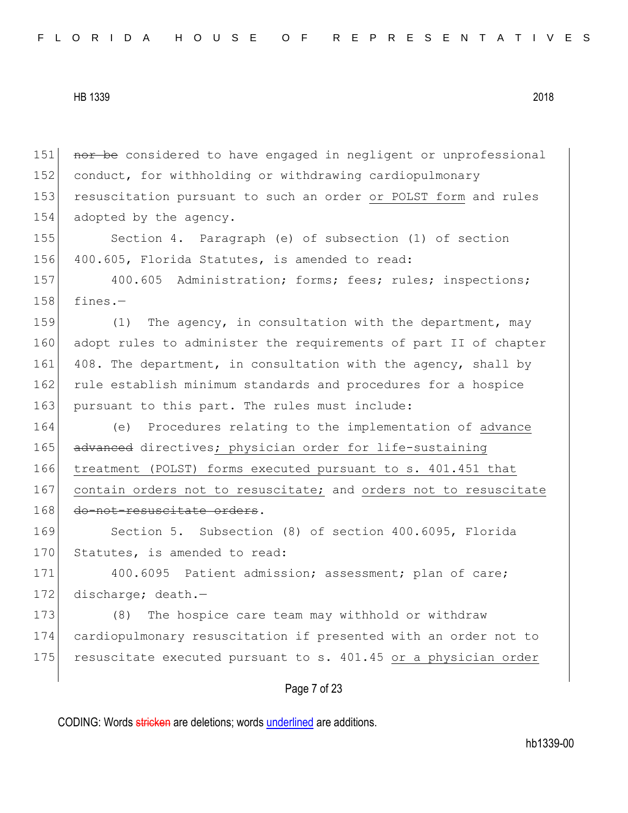Page 7 of 23 151 nor be considered to have engaged in negligent or unprofessional 152 conduct, for withholding or withdrawing cardiopulmonary 153 resuscitation pursuant to such an order or POLST form and rules 154 adopted by the agency. 155 Section 4. Paragraph (e) of subsection (1) of section 156 400.605, Florida Statutes, is amended to read: 157 400.605 Administration; forms; fees; rules; inspections;  $158$  fines. $-$ 159 (1) The agency, in consultation with the department, may 160 adopt rules to administer the requirements of part II of chapter 161 408. The department, in consultation with the agency, shall by 162 rule establish minimum standards and procedures for a hospice 163 pursuant to this part. The rules must include: 164 (e) Procedures relating to the implementation of advance 165 advanced directives; physician order for life-sustaining 166 treatment (POLST) forms executed pursuant to s. 401.451 that 167 contain orders not to resuscitate; and orders not to resuscitate 168 do-not-resuscitate orders. 169 Section 5. Subsection (8) of section 400.6095, Florida 170 Statutes, is amended to read: 171 400.6095 Patient admission; assessment; plan of care; 172 discharge; death.-173 (8) The hospice care team may withhold or withdraw 174 cardiopulmonary resuscitation if presented with an order not to 175 resuscitate executed pursuant to s. 401.45 or a physician order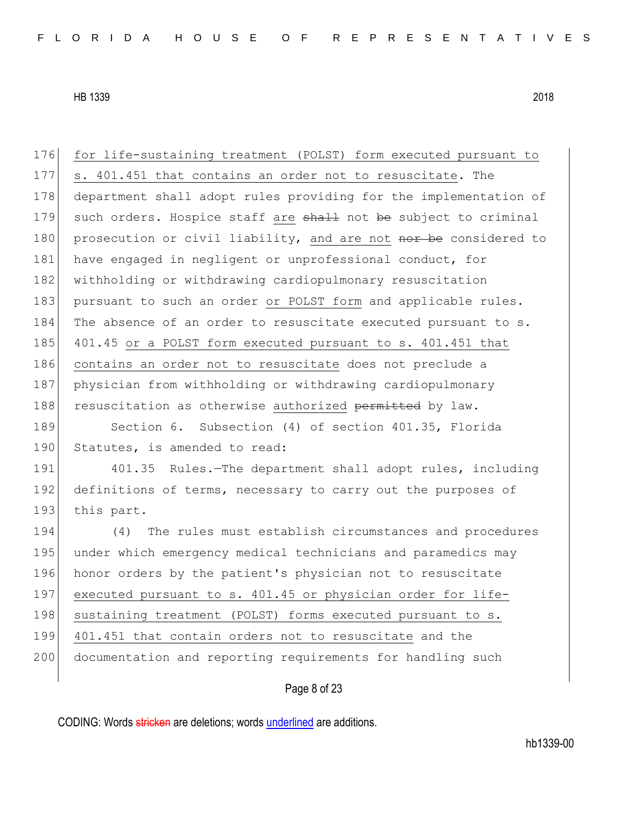176 for life-sustaining treatment (POLST) form executed pursuant to 177 s. 401.451 that contains an order not to resuscitate. The 178 department shall adopt rules providing for the implementation of 179 such orders. Hospice staff are shall not be subject to criminal 180 prosecution or civil liability, and are not nor be considered to 181 have engaged in negligent or unprofessional conduct, for 182 withholding or withdrawing cardiopulmonary resuscitation 183 pursuant to such an order or POLST form and applicable rules. 184 The absence of an order to resuscitate executed pursuant to s. 185 401.45 or a POLST form executed pursuant to s. 401.451 that 186 contains an order not to resuscitate does not preclude a 187 physician from withholding or withdrawing cardiopulmonary 188 resuscitation as otherwise authorized permitted by law. 189 Section 6. Subsection (4) of section 401.35, Florida 190 Statutes, is amended to read: 191 401.35 Rules.—The department shall adopt rules, including 192 definitions of terms, necessary to carry out the purposes of 193 this part. 194 (4) The rules must establish circumstances and procedures 195 under which emergency medical technicians and paramedics may 196 honor orders by the patient's physician not to resuscitate 197 executed pursuant to s. 401.45 or physician order for life-198 sustaining treatment (POLST) forms executed pursuant to s. 199 401.451 that contain orders not to resuscitate and the 200 documentation and reporting requirements for handling such

# Page 8 of 23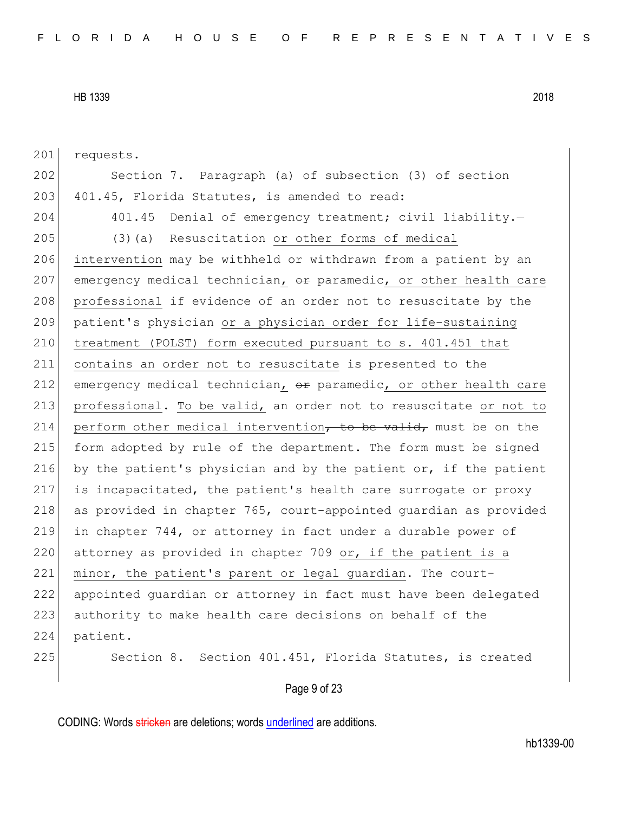201 requests.

202 Section 7. Paragraph (a) of subsection (3) of section 203 401.45, Florida Statutes, is amended to read:

204 401.45 Denial of emergency treatment; civil liability.

205 (3)(a) Resuscitation or other forms of medical 206 intervention may be withheld or withdrawn from a patient by an 207 emergency medical technician,  $\theta$ r paramedic, or other health care 208 professional if evidence of an order not to resuscitate by the 209 patient's physician or a physician order for life-sustaining 210 treatment (POLST) form executed pursuant to s. 401.451 that 211 contains an order not to resuscitate is presented to the 212 emergency medical technician,  $\theta$ r paramedic, or other health care 213 professional. To be valid, an order not to resuscitate or not to 214 perform other medical intervention, to be valid, must be on the 215 form adopted by rule of the department. The form must be signed 216 by the patient's physician and by the patient or, if the patient 217 is incapacitated, the patient's health care surrogate or proxy 218 as provided in chapter 765, court-appointed quardian as provided 219 in chapter 744, or attorney in fact under a durable power of 220 attorney as provided in chapter 709 or, if the patient is a 221 minor, the patient's parent or legal quardian. The court-222 appointed guardian or attorney in fact must have been delegated 223 authority to make health care decisions on behalf of the 224 patient.

225 Section 8. Section 401.451, Florida Statutes, is created

#### Page 9 of 23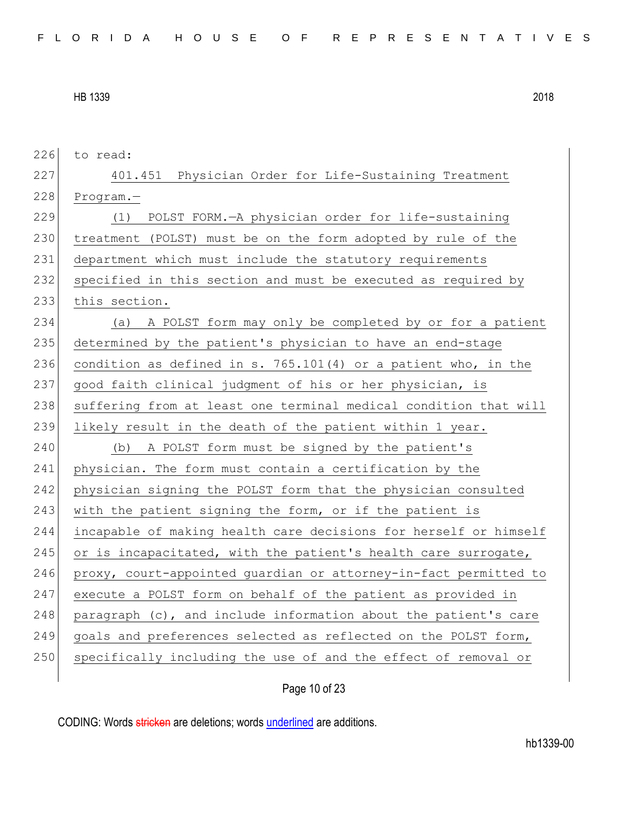| 226 | to read:                                                         |
|-----|------------------------------------------------------------------|
| 227 | 401.451 Physician Order for Life-Sustaining Treatment            |
| 228 | $Program. -$                                                     |
| 229 | (1) POLST FORM.-A physician order for life-sustaining            |
| 230 | treatment (POLST) must be on the form adopted by rule of the     |
| 231 | department which must include the statutory requirements         |
| 232 | specified in this section and must be executed as required by    |
| 233 | this section.                                                    |
| 234 | A POLST form may only be completed by or for a patient<br>(a)    |
| 235 | determined by the patient's physician to have an end-stage       |
| 236 | condition as defined in s. 765.101(4) or a patient who, in the   |
| 237 | good faith clinical judgment of his or her physician, is         |
| 238 | suffering from at least one terminal medical condition that will |
|     |                                                                  |
| 239 | likely result in the death of the patient within 1 year.         |
| 240 | A POLST form must be signed by the patient's<br>(b)              |
| 241 | physician. The form must contain a certification by the          |
| 242 | physician signing the POLST form that the physician consulted    |
| 243 | with the patient signing the form, or if the patient is          |
| 244 | incapable of making health care decisions for herself or himself |
| 245 | or is incapacitated, with the patient's health care surrogate,   |
| 246 | proxy, court-appointed guardian or attorney-in-fact permitted to |
| 247 | execute a POLST form on behalf of the patient as provided in     |
| 248 | paragraph (c), and include information about the patient's care  |
| 249 | goals and preferences selected as reflected on the POLST form,   |
| 250 | specifically including the use of and the effect of removal or   |

Page 10 of 23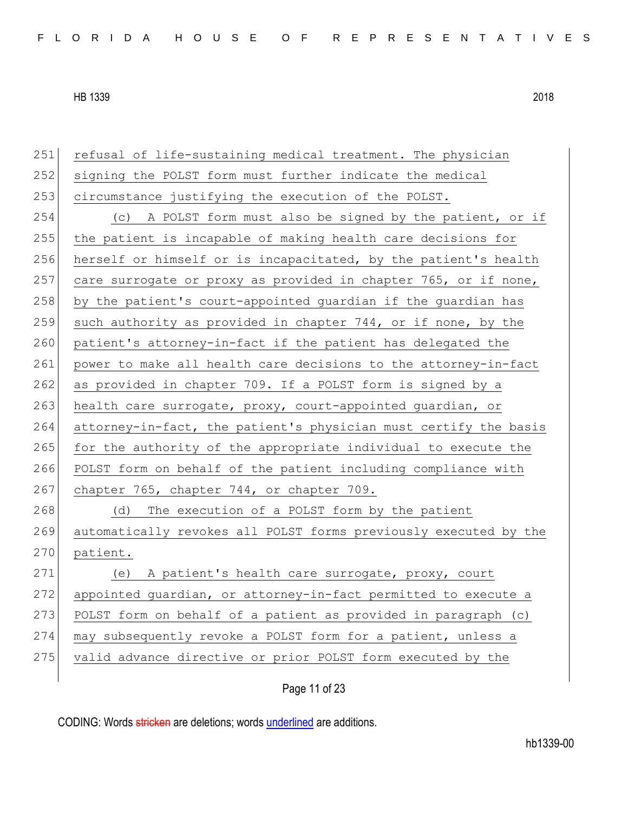| 251 | refusal of life-sustaining medical treatment. The physician      |
|-----|------------------------------------------------------------------|
| 252 | signing the POLST form must further indicate the medical         |
| 253 | circumstance justifying the execution of the POLST.              |
| 254 | A POLST form must also be signed by the patient, or if<br>(C)    |
| 255 | the patient is incapable of making health care decisions for     |
| 256 | herself or himself or is incapacitated, by the patient's health  |
| 257 | care surrogate or proxy as provided in chapter 765, or if none,  |
| 258 | by the patient's court-appointed guardian if the guardian has    |
| 259 | such authority as provided in chapter 744, or if none, by the    |
| 260 | patient's attorney-in-fact if the patient has delegated the      |
| 261 | power to make all health care decisions to the attorney-in-fact  |
| 262 | as provided in chapter 709. If a POLST form is signed by a       |
| 263 | health care surrogate, proxy, court-appointed guardian, or       |
| 264 | attorney-in-fact, the patient's physician must certify the basis |
| 265 | for the authority of the appropriate individual to execute the   |
| 266 | POLST form on behalf of the patient including compliance with    |
| 267 | chapter 765, chapter 744, or chapter 709.                        |
| 268 | The execution of a POLST form by the patient<br>(d)              |
| 269 | automatically revokes all POLST forms previously executed by the |
| 270 | patient.                                                         |
| 271 | (e) A patient's health care surrogate, proxy, court              |
| 272 | appointed guardian, or attorney-in-fact permitted to execute a   |
| 273 | POLST form on behalf of a patient as provided in paragraph (c)   |
| 274 | may subsequently revoke a POLST form for a patient, unless a     |
| 275 | valid advance directive or prior POLST form executed by the      |
|     |                                                                  |

Page 11 of 23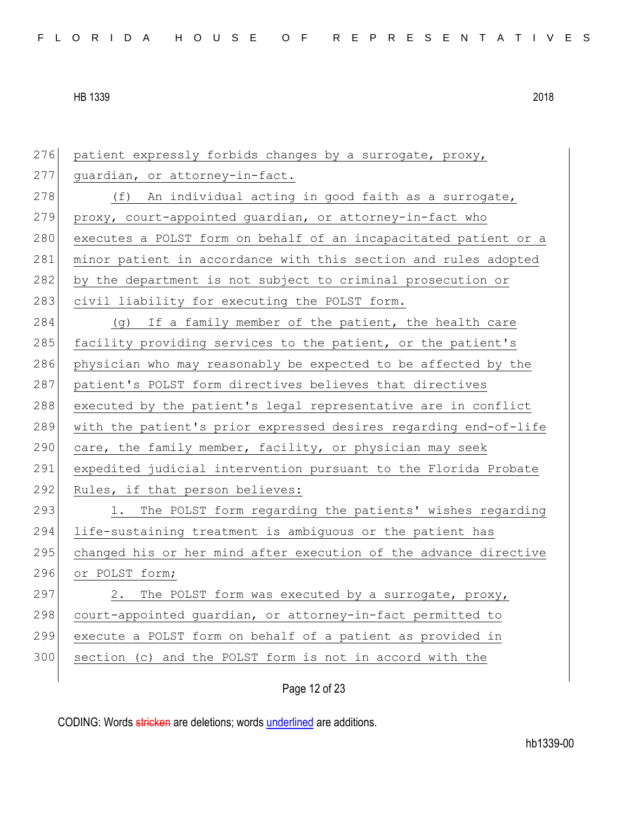| 276 | patient expressly forbids changes by a surrogate, proxy,         |
|-----|------------------------------------------------------------------|
| 277 | guardian, or attorney-in-fact.                                   |
| 278 | (f) An individual acting in good faith as a surrogate,           |
| 279 | proxy, court-appointed guardian, or attorney-in-fact who         |
| 280 | executes a POLST form on behalf of an incapacitated patient or a |
| 281 | minor patient in accordance with this section and rules adopted  |
| 282 | by the department is not subject to criminal prosecution or      |
| 283 | civil liability for executing the POLST form.                    |
| 284 | (g) If a family member of the patient, the health care           |
| 285 | facility providing services to the patient, or the patient's     |
| 286 | physician who may reasonably be expected to be affected by the   |
| 287 | patient's POLST form directives believes that directives         |
| 288 | executed by the patient's legal representative are in conflict   |
| 289 | with the patient's prior expressed desires regarding end-of-life |
| 290 | care, the family member, facility, or physician may seek         |
| 291 | expedited judicial intervention pursuant to the Florida Probate  |
| 292 | Rules, if that person believes:                                  |
| 293 | The POLST form regarding the patients' wishes regarding<br>1.    |
| 294 | life-sustaining treatment is ambiguous or the patient has        |
| 295 | changed his or her mind after execution of the advance directive |
| 296 | or POLST form;                                                   |
| 297 | The POLST form was executed by a surrogate, proxy,<br>2.         |
| 298 | court-appointed guardian, or attorney-in-fact permitted to       |
| 299 | execute a POLST form on behalf of a patient as provided in       |
| 300 | section (c) and the POLST form is not in accord with the         |
|     |                                                                  |

Page 12 of 23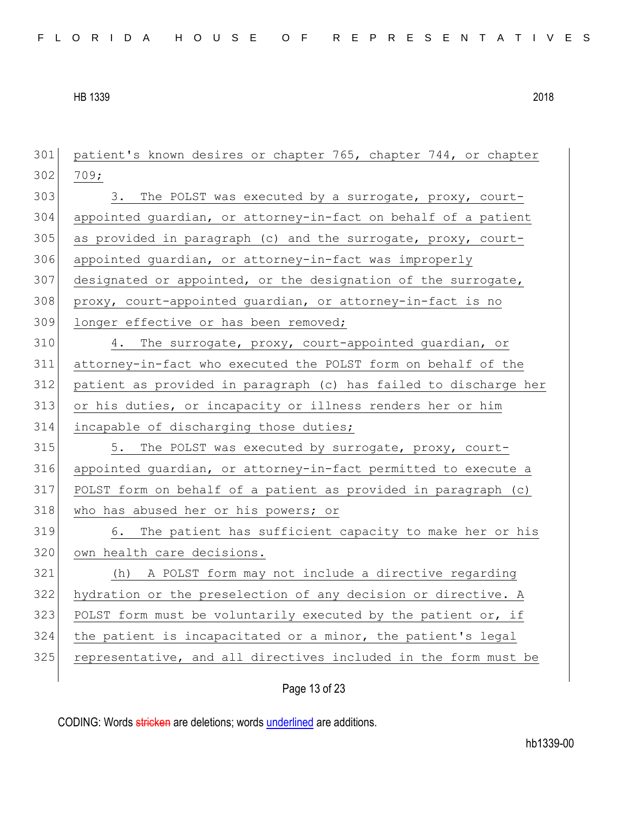patient's known desires or chapter 765, chapter 744, or chapter 302 709; 303 303. The POLST was executed by a surrogate, proxy, court- appointed guardian, or attorney-in-fact on behalf of a patient as provided in paragraph (c) and the surrogate, proxy, court-306 appointed guardian, or attorney-in-fact was improperly designated or appointed, or the designation of the surrogate, proxy, court-appointed guardian, or attorney-in-fact is no 309 longer effective or has been removed; 4. The surrogate, proxy, court-appointed guardian, or attorney-in-fact who executed the POLST form on behalf of the patient as provided in paragraph (c) has failed to discharge her or his duties, or incapacity or illness renders her or him incapable of discharging those duties; 315 5. The POLST was executed by surrogate, proxy, court- appointed guardian, or attorney-in-fact permitted to execute a POLST form on behalf of a patient as provided in paragraph (c) 318 who has abused her or his powers; or 6. The patient has sufficient capacity to make her or his 320 own health care decisions. (h) A POLST form may not include a directive regarding hydration or the preselection of any decision or directive. A 323 POLST form must be voluntarily executed by the patient or, if the patient is incapacitated or a minor, the patient's legal representative, and all directives included in the form must be

Page 13 of 23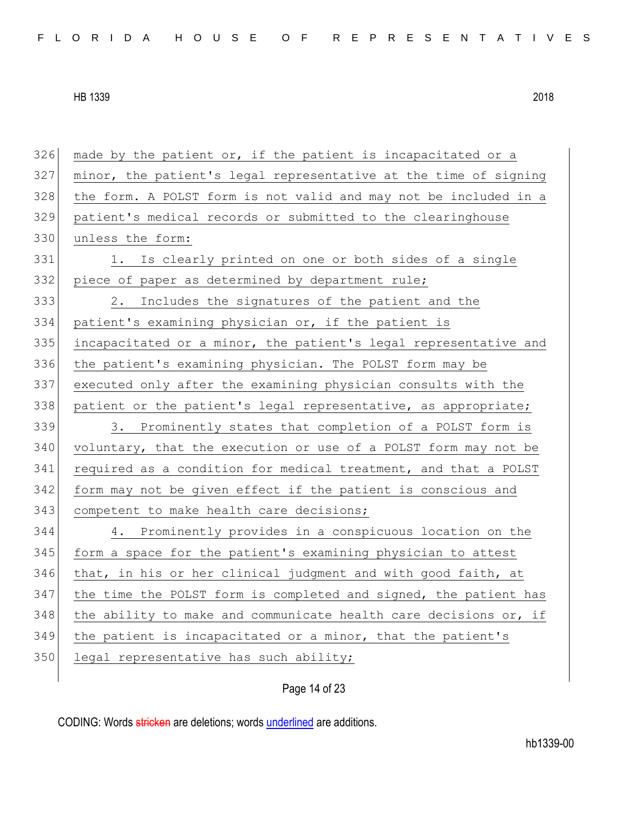made by the patient or, if the patient is incapacitated or a minor, the patient's legal representative at the time of signing the form. A POLST form is not valid and may not be included in a patient's medical records or submitted to the clearinghouse unless the form: 331 1. Is clearly printed on one or both sides of a single piece of paper as determined by department rule; 2. Includes the signatures of the patient and the patient's examining physician or, if the patient is incapacitated or a minor, the patient's legal representative and the patient's examining physician. The POLST form may be executed only after the examining physician consults with the 338 patient or the patient's legal representative, as appropriate; 3. Prominently states that completion of a POLST form is voluntary, that the execution or use of a POLST form may not be 341 required as a condition for medical treatment, and that a POLST form may not be given effect if the patient is conscious and 343 competent to make health care decisions; 4. Prominently provides in a conspicuous location on the 345 form a space for the patient's examining physician to attest that, in his or her clinical judgment and with good faith, at 347 the time the POLST form is completed and signed, the patient has the ability to make and communicate health care decisions or, if the patient is incapacitated or a minor, that the patient's 350 legal representative has such ability;

# Page 14 of 23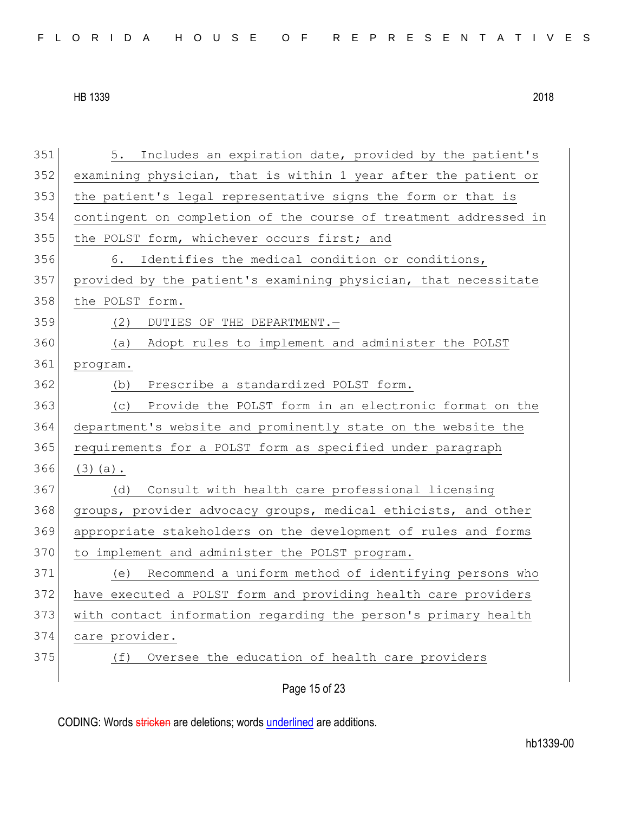| FLORIDA HOUSE OF REPRESENTATIVES |  |
|----------------------------------|--|
|----------------------------------|--|

| 351 | 5.<br>Includes an expiration date, provided by the patient's     |
|-----|------------------------------------------------------------------|
| 352 | examining physician, that is within 1 year after the patient or  |
| 353 | the patient's legal representative signs the form or that is     |
| 354 | contingent on completion of the course of treatment addressed in |
| 355 | the POLST form, whichever occurs first; and                      |
| 356 | Identifies the medical condition or conditions,<br>6.            |
| 357 | provided by the patient's examining physician, that necessitate  |
| 358 | the POLST form.                                                  |
| 359 | DUTIES OF THE DEPARTMENT.-<br>(2)                                |
| 360 | Adopt rules to implement and administer the POLST<br>(a)         |
| 361 | program.                                                         |
| 362 | Prescribe a standardized POLST form.<br>(b)                      |
| 363 | Provide the POLST form in an electronic format on the<br>(C)     |
| 364 | department's website and prominently state on the website the    |
| 365 | requirements for a POLST form as specified under paragraph       |
| 366 | $(3)$ (a).                                                       |
| 367 | Consult with health care professional licensing<br>(d)           |
| 368 | groups, provider advocacy groups, medical ethicists, and other   |
| 369 | appropriate stakeholders on the development of rules and forms   |
| 370 | to implement and administer the POLST program.                   |
| 371 | Recommend a uniform method of identifying persons who<br>(e)     |
| 372 | have executed a POLST form and providing health care providers   |
| 373 | with contact information regarding the person's primary health   |
| 374 | care provider.                                                   |
| 375 | Oversee the education of health care providers<br>(f)            |
|     |                                                                  |

Page 15 of 23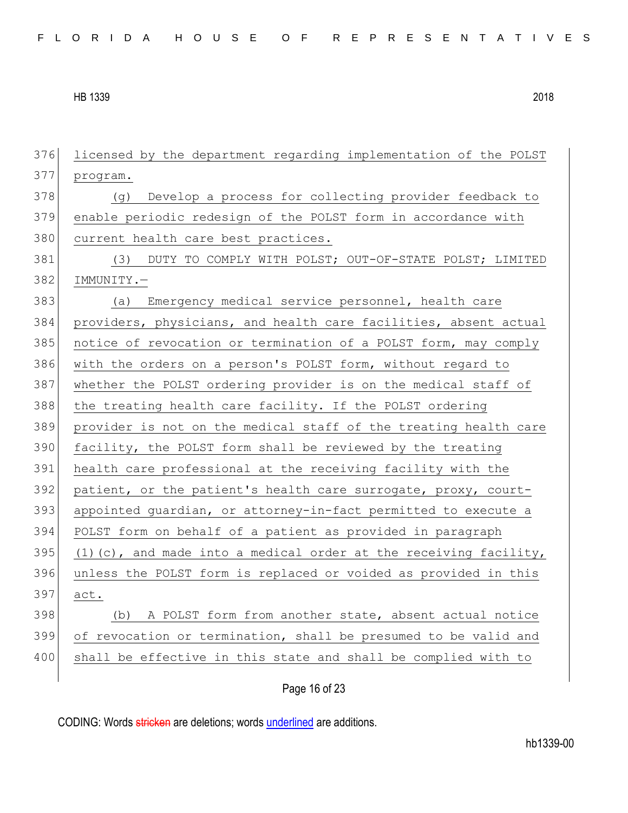licensed by the department regarding implementation of the POLST program. 378 (g) Develop a process for collecting provider feedback to enable periodic redesign of the POLST form in accordance with 380 current health care best practices. 381 (3) DUTY TO COMPLY WITH POLST; OUT-OF-STATE POLST; LIMITED IMMUNITY.— (a) Emergency medical service personnel, health care providers, physicians, and health care facilities, absent actual notice of revocation or termination of a POLST form, may comply with the orders on a person's POLST form, without regard to whether the POLST ordering provider is on the medical staff of 388 the treating health care facility. If the POLST ordering provider is not on the medical staff of the treating health care facility, the POLST form shall be reviewed by the treating health care professional at the receiving facility with the patient, or the patient's health care surrogate, proxy, court- appointed guardian, or attorney-in-fact permitted to execute a POLST form on behalf of a patient as provided in paragraph 395 (1)(c), and made into a medical order at the receiving facility, unless the POLST form is replaced or voided as provided in this act. (b) A POLST form from another state, absent actual notice of revocation or termination, shall be presumed to be valid and 400 shall be effective in this state and shall be complied with to

Page 16 of 23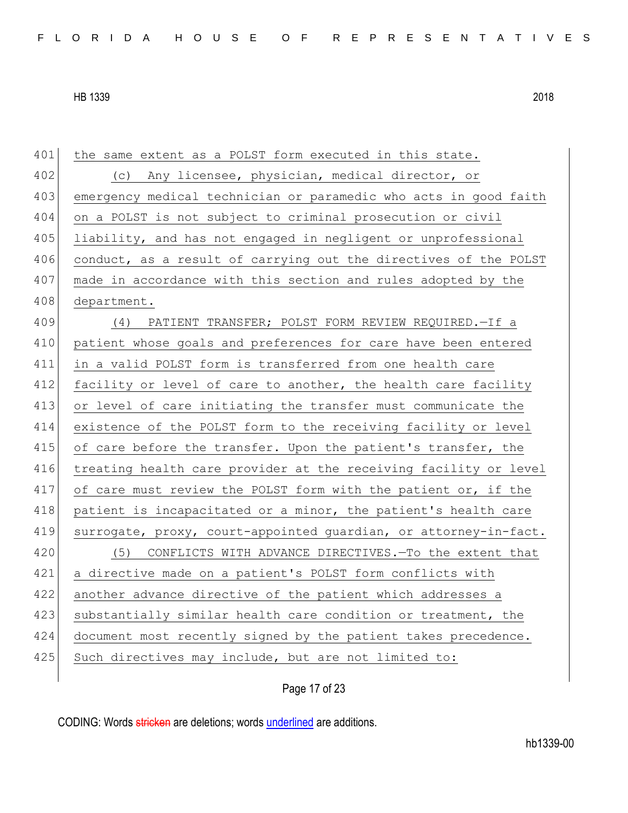| 401 | the same extent as a POLST form executed in this state.          |
|-----|------------------------------------------------------------------|
| 402 | (c) Any licensee, physician, medical director, or                |
| 403 | emergency medical technician or paramedic who acts in good faith |
| 404 | on a POLST is not subject to criminal prosecution or civil       |
| 405 | liability, and has not engaged in negligent or unprofessional    |
| 406 | conduct, as a result of carrying out the directives of the POLST |
| 407 | made in accordance with this section and rules adopted by the    |
| 408 | department.                                                      |
| 409 | PATIENT TRANSFER; POLST FORM REVIEW REQUIRED. - If a<br>(4)      |
| 410 | patient whose goals and preferences for care have been entered   |
| 411 | in a valid POLST form is transferred from one health care        |
| 412 | facility or level of care to another, the health care facility   |
| 413 | or level of care initiating the transfer must communicate the    |
| 414 | existence of the POLST form to the receiving facility or level   |
| 415 | of care before the transfer. Upon the patient's transfer, the    |
| 416 | treating health care provider at the receiving facility or level |
| 417 | of care must review the POLST form with the patient or, if the   |
| 418 | patient is incapacitated or a minor, the patient's health care   |
| 419 | surrogate, proxy, court-appointed guardian, or attorney-in-fact. |
| 420 | CONFLICTS WITH ADVANCE DIRECTIVES. - To the extent that<br>(5)   |
| 421 | a directive made on a patient's POLST form conflicts with        |
| 422 | another advance directive of the patient which addresses a       |
| 423 | substantially similar health care condition or treatment, the    |
| 424 | document most recently signed by the patient takes precedence.   |
| 425 | Such directives may include, but are not limited to:             |
|     |                                                                  |

Page 17 of 23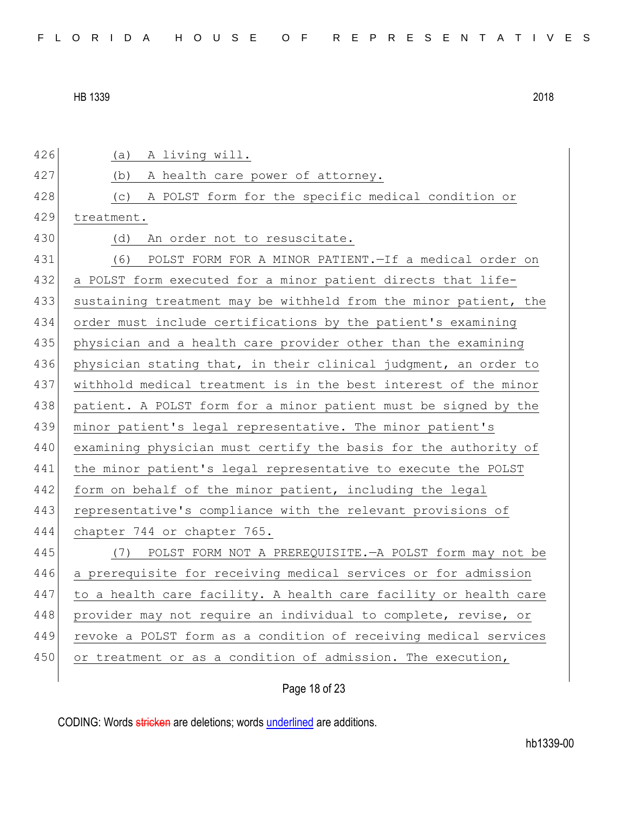| 426 | A living will.<br>(a)                                            |
|-----|------------------------------------------------------------------|
| 427 | A health care power of attorney.<br>(b)                          |
| 428 | A POLST form for the specific medical condition or<br>(C)        |
| 429 | treatment.                                                       |
| 430 | (d)<br>An order not to resuscitate.                              |
| 431 | (6)<br>POLST FORM FOR A MINOR PATIENT. - If a medical order on   |
| 432 | a POLST form executed for a minor patient directs that life-     |
| 433 | sustaining treatment may be withheld from the minor patient, the |
| 434 | order must include certifications by the patient's examining     |
| 435 | physician and a health care provider other than the examining    |
| 436 | physician stating that, in their clinical judgment, an order to  |
| 437 | withhold medical treatment is in the best interest of the minor  |
| 438 | patient. A POLST form for a minor patient must be signed by the  |
| 439 | minor patient's legal representative. The minor patient's        |
| 440 | examining physician must certify the basis for the authority of  |
| 441 | the minor patient's legal representative to execute the POLST    |
| 442 | form on behalf of the minor patient, including the legal         |
| 443 | representative's compliance with the relevant provisions of      |
| 444 | chapter 744 or chapter 765.                                      |
| 445 | (7) POLST FORM NOT A PREREQUISITE. - A POLST form may not be     |
| 446 | a prerequisite for receiving medical services or for admission   |
| 447 | to a health care facility. A health care facility or health care |
| 448 | provider may not require an individual to complete, revise, or   |
| 449 | revoke a POLST form as a condition of receiving medical services |
| 450 | or treatment or as a condition of admission. The execution,      |
|     |                                                                  |

Page 18 of 23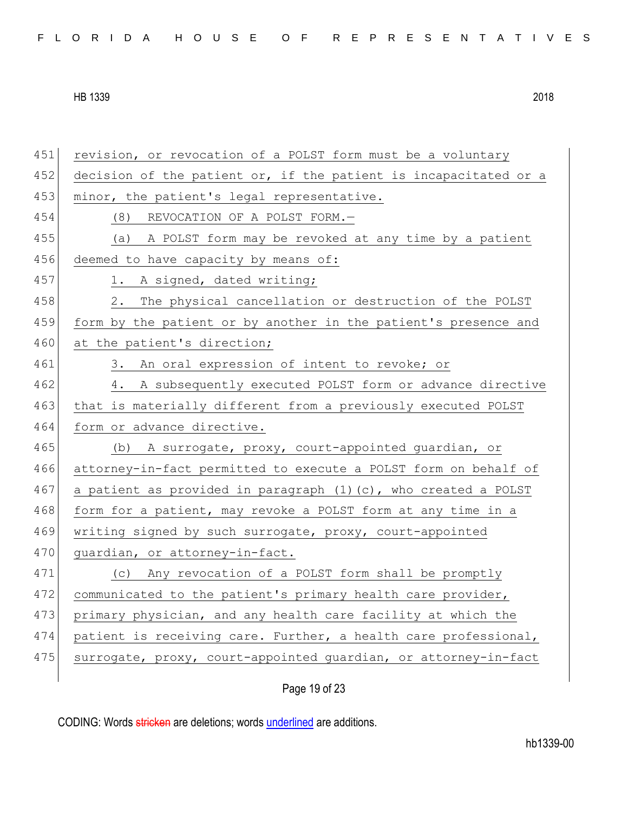| FLORIDA HOUSE OF REPRESENTATIVES |  |
|----------------------------------|--|
|----------------------------------|--|

451 revision, or revocation of a POLST form must be a voluntary 452 decision of the patient or, if the patient is incapacitated or a 453 minor, the patient's legal representative. 454 (8) REVOCATION OF A POLST FORM.— 455 (a) A POLST form may be revoked at any time by a patient 456 deemed to have capacity by means of: 457 1. A signed, dated writing; 458 2. The physical cancellation or destruction of the POLST 459 form by the patient or by another in the patient's presence and 460 at the patient's direction; 461 3. An oral expression of intent to revoke; or 462 4. A subsequently executed POLST form or advance directive 463 that is materially different from a previously executed POLST 464 form or advance directive. 465 (b) A surrogate, proxy, court-appointed guardian, or 466 attorney-in-fact permitted to execute a POLST form on behalf of 467 a patient as provided in paragraph  $(1)$  (c), who created a POLST 468 form for a patient, may revoke a POLST form at any time in a 469 writing signed by such surrogate, proxy, court-appointed 470 quardian, or attorney-in-fact. 471 (c) Any revocation of a POLST form shall be promptly 472 communicated to the patient's primary health care provider, 473 primary physician, and any health care facility at which the 474 patient is receiving care. Further, a health care professional, 475 surrogate, proxy, court-appointed guardian, or attorney-in-fact

Page 19 of 23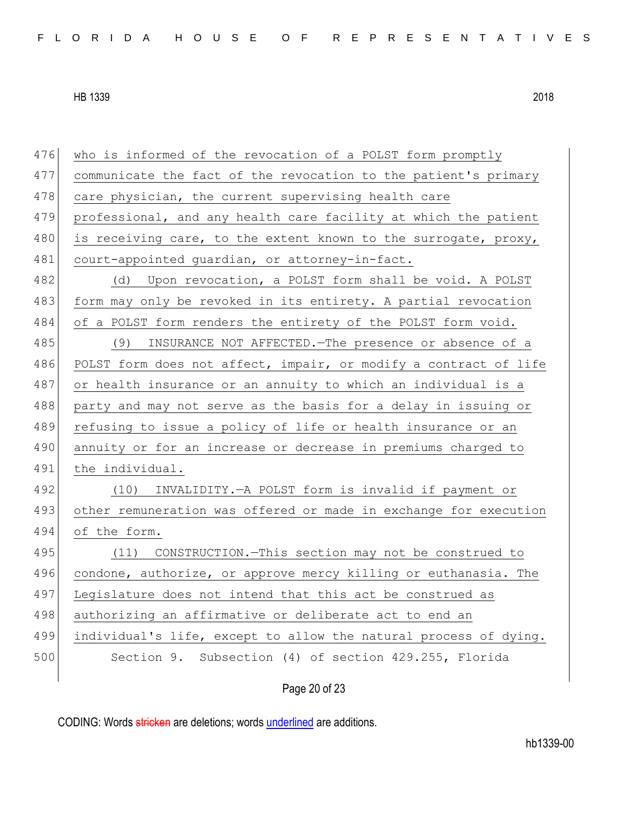Page 20 of 23 476 who is informed of the revocation of a POLST form promptly 477 communicate the fact of the revocation to the patient's primary 478 care physician, the current supervising health care 479 professional, and any health care facility at which the patient 480 is receiving care, to the extent known to the surrogate, proxy, 481 court-appointed guardian, or attorney-in-fact. 482 (d) Upon revocation, a POLST form shall be void. A POLST 483 form may only be revoked in its entirety. A partial revocation 484 of a POLST form renders the entirety of the POLST form void. 485 (9) INSURANCE NOT AFFECTED.—The presence or absence of a 486 POLST form does not affect, impair, or modify a contract of life 487 or health insurance or an annuity to which an individual is a 488 party and may not serve as the basis for a delay in issuing or 489 refusing to issue a policy of life or health insurance or an 490 annuity or for an increase or decrease in premiums charged to 491 the individual. 492 (10) INVALIDITY.—A POLST form is invalid if payment or 493 other remuneration was offered or made in exchange for execution 494 of the form. 495 (11) CONSTRUCTION.—This section may not be construed to 496 condone, authorize, or approve mercy killing or euthanasia. The 497 Legislature does not intend that this act be construed as 498 authorizing an affirmative or deliberate act to end an 499 individual's life, except to allow the natural process of dying. 500 Section 9. Subsection (4) of section 429.255, Florida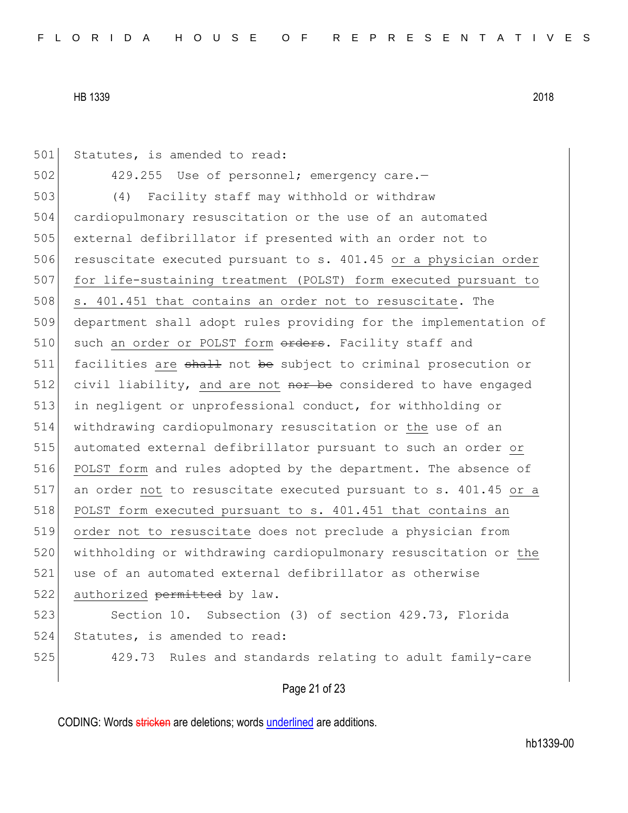501 Statutes, is amended to read: 502 429.255 Use of personnel; emergency care.-503 (4) Facility staff may withhold or withdraw 504 cardiopulmonary resuscitation or the use of an automated 505 external defibrillator if presented with an order not to 506 resuscitate executed pursuant to s. 401.45 or a physician order 507 for life-sustaining treatment (POLST) form executed pursuant to 508 s. 401.451 that contains an order not to resuscitate. The 509 department shall adopt rules providing for the implementation of 510 such an order or POLST form orders. Facility staff and 511 facilities are shall not be subject to criminal prosecution or 512 civil liability, and are not nor be considered to have engaged 513 in negligent or unprofessional conduct, for withholding or 514 withdrawing cardiopulmonary resuscitation or the use of an 515 automated external defibrillator pursuant to such an order or 516 POLST form and rules adopted by the department. The absence of 517 an order not to resuscitate executed pursuant to s. 401.45 or a 518 POLST form executed pursuant to s. 401.451 that contains an 519 order not to resuscitate does not preclude a physician from 520 withholding or withdrawing cardiopulmonary resuscitation or the 521 use of an automated external defibrillator as otherwise 522 authorized permitted by law. 523 Section 10. Subsection (3) of section 429.73, Florida 524 Statutes, is amended to read: 525 429.73 Rules and standards relating to adult family-care

Page 21 of 23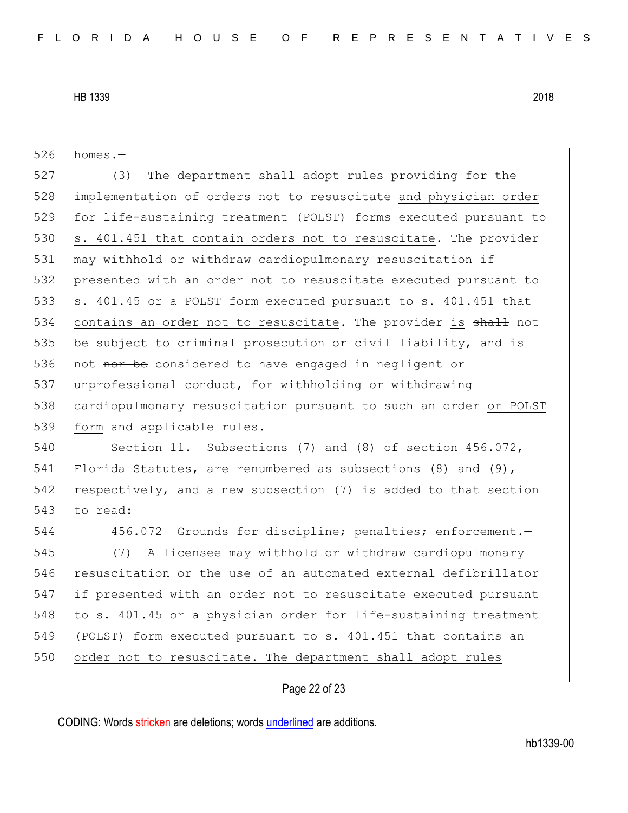| 526 | homes.-                                                           |
|-----|-------------------------------------------------------------------|
| 527 | The department shall adopt rules providing for the<br>(3)         |
| 528 | implementation of orders not to resuscitate and physician order   |
| 529 | for life-sustaining treatment (POLST) forms executed pursuant to  |
| 530 | s. 401.451 that contain orders not to resuscitate. The provider   |
| 531 | may withhold or withdraw cardiopulmonary resuscitation if         |
| 532 | presented with an order not to resuscitate executed pursuant to   |
| 533 | s. 401.45 or a POLST form executed pursuant to s. 401.451 that    |
| 534 | contains an order not to resuscitate. The provider is shall not   |
| 535 | be subject to criminal prosecution or civil liability, and is     |
| 536 | not nor be considered to have engaged in negligent or             |
| 537 | unprofessional conduct, for withholding or withdrawing            |
| 538 | cardiopulmonary resuscitation pursuant to such an order or POLST  |
| 539 | form and applicable rules.                                        |
| 540 | Section 11. Subsections (7) and (8) of section 456.072,           |
| 541 | Florida Statutes, are renumbered as subsections $(8)$ and $(9)$ , |
| 542 | respectively, and a new subsection (7) is added to that section   |
| 543 | to read:                                                          |
| 544 | 456.072 Grounds for discipline; penalties; enforcement.-          |
| 545 | A licensee may withhold or withdraw cardiopulmonary<br>(7)        |
| 546 | resuscitation or the use of an automated external defibrillator   |
| 547 | if presented with an order not to resuscitate executed pursuant   |
| 548 | to s. 401.45 or a physician order for life-sustaining treatment   |
| 549 | (POLST) form executed pursuant to s. 401.451 that contains an     |
| 550 | order not to resuscitate. The department shall adopt rules        |
|     |                                                                   |

# Page 22 of 23